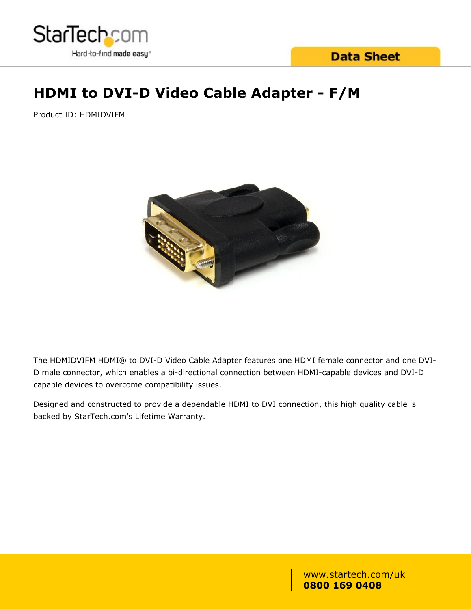

### **Data Sheet**

## **HDMI to DVI-D Video Cable Adapter - F/M**

Product ID: HDMIDVIFM



The HDMIDVIFM HDMI® to DVI-D Video Cable Adapter features one HDMI female connector and one DVI-D male connector, which enables a bi-directional connection between HDMI-capable devices and DVI-D capable devices to overcome compatibility issues.

Designed and constructed to provide a dependable HDMI to DVI connection, this high quality cable is backed by StarTech.com's Lifetime Warranty.

> www.startech.com/uk **0800 169 0408**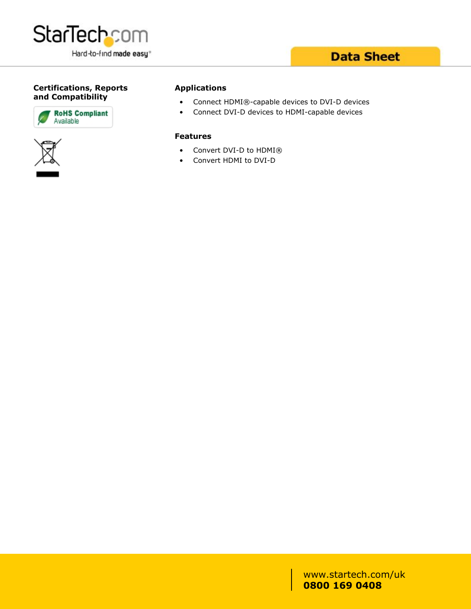

# **Certifications, Reports**





#### **Applications**

- **and Compatibility**<br>
Connect HDMI®-capable devices to DVI-D devices
	- Connect DVI-D devices to HDMI-capable devices

#### **Features**

- Convert DVI-D to HDMI®
- Convert HDMI to DVI-D

www.startech.com/uk **0800 169 0408**